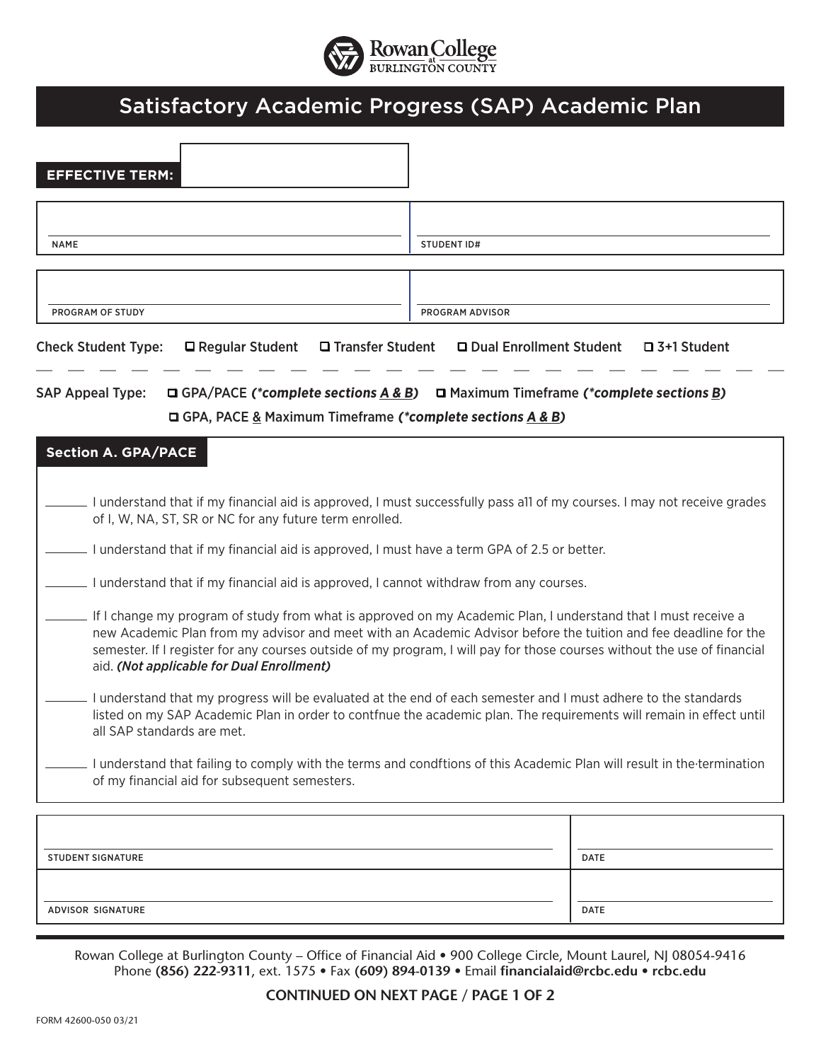

## Satisfactory Academic Progress (SAP) Academic Plan

| <b>EFFECTIVE TERM:</b>                                                                                                                                                                                                                                              |                                                                                                                                                                                                                                                                                                                                                              |  |  |  |
|---------------------------------------------------------------------------------------------------------------------------------------------------------------------------------------------------------------------------------------------------------------------|--------------------------------------------------------------------------------------------------------------------------------------------------------------------------------------------------------------------------------------------------------------------------------------------------------------------------------------------------------------|--|--|--|
|                                                                                                                                                                                                                                                                     |                                                                                                                                                                                                                                                                                                                                                              |  |  |  |
| <b>NAME</b>                                                                                                                                                                                                                                                         | <b>STUDENT ID#</b>                                                                                                                                                                                                                                                                                                                                           |  |  |  |
|                                                                                                                                                                                                                                                                     |                                                                                                                                                                                                                                                                                                                                                              |  |  |  |
|                                                                                                                                                                                                                                                                     |                                                                                                                                                                                                                                                                                                                                                              |  |  |  |
| PROGRAM OF STUDY                                                                                                                                                                                                                                                    | PROGRAM ADVISOR                                                                                                                                                                                                                                                                                                                                              |  |  |  |
| <b>Check Student Type:</b><br>$\Box$ Regular Student<br>□ Transfer Student                                                                                                                                                                                          | □ Dual Enrollment Student<br>$\square$ 3+1 Student                                                                                                                                                                                                                                                                                                           |  |  |  |
| <b>SAP Appeal Type:</b>                                                                                                                                                                                                                                             | <b>Q GPA/PACE (*complete sections A &amp; B) Q</b> Maximum Timeframe (*complete sections B)                                                                                                                                                                                                                                                                  |  |  |  |
| <b>□ GPA, PACE &amp; Maximum Timeframe (*complete sections A &amp; B)</b>                                                                                                                                                                                           |                                                                                                                                                                                                                                                                                                                                                              |  |  |  |
| <b>Section A. GPA/PACE</b>                                                                                                                                                                                                                                          |                                                                                                                                                                                                                                                                                                                                                              |  |  |  |
|                                                                                                                                                                                                                                                                     |                                                                                                                                                                                                                                                                                                                                                              |  |  |  |
| of I, W, NA, ST, SR or NC for any future term enrolled.                                                                                                                                                                                                             | I understand that if my financial aid is approved, I must successfully pass all of my courses. I may not receive grades                                                                                                                                                                                                                                      |  |  |  |
| I understand that if my financial aid is approved, I must have a term GPA of 2.5 or better.                                                                                                                                                                         |                                                                                                                                                                                                                                                                                                                                                              |  |  |  |
| I understand that if my financial aid is approved, I cannot withdraw from any courses.                                                                                                                                                                              |                                                                                                                                                                                                                                                                                                                                                              |  |  |  |
| aid. (Not applicable for Dual Enrollment)                                                                                                                                                                                                                           | If I change my program of study from what is approved on my Academic Plan, I understand that I must receive a<br>new Academic Plan from my advisor and meet with an Academic Advisor before the tuition and fee deadline for the<br>semester. If I register for any courses outside of my program, I will pay for those courses without the use of financial |  |  |  |
| I understand that my progress will be evaluated at the end of each semester and I must adhere to the standards<br>listed on my SAP Academic Plan in order to contfnue the academic plan. The requirements will remain in effect until<br>all SAP standards are met. |                                                                                                                                                                                                                                                                                                                                                              |  |  |  |
| I understand that failing to comply with the terms and condftions of this Academic Plan will result in the termination<br>of my financial aid for subsequent semesters.                                                                                             |                                                                                                                                                                                                                                                                                                                                                              |  |  |  |
|                                                                                                                                                                                                                                                                     |                                                                                                                                                                                                                                                                                                                                                              |  |  |  |
| <b>STUDENT SIGNATURE</b>                                                                                                                                                                                                                                            | <b>DATE</b>                                                                                                                                                                                                                                                                                                                                                  |  |  |  |
|                                                                                                                                                                                                                                                                     |                                                                                                                                                                                                                                                                                                                                                              |  |  |  |
| ADVISOR SIGNATURE                                                                                                                                                                                                                                                   | <b>DATE</b>                                                                                                                                                                                                                                                                                                                                                  |  |  |  |

Rowan College at Burlington County – Office of Financial Aid • 900 College Circle, Mount Laurel, NJ 08054-9416 Phone **(856) 222-9311**, ext. 1575 • Fax **(609) 894-0139** • Email **financialaid@rcbc.edu • rcbc.edu**

## **CONTINUED ON NEXT PAGE / PAGE 1 OF 2**